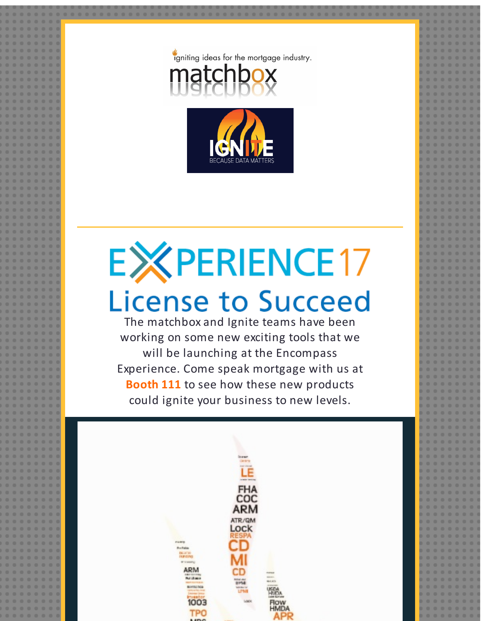



## **EXPERIENCE17 License to Succeed**

The matchbox and Ignite teams have been working on some new exciting tools that we will be launching at the Encompass Experience. Come speak mortgage with us at **Booth 111** to see how these new products could ignite your business to new levels.

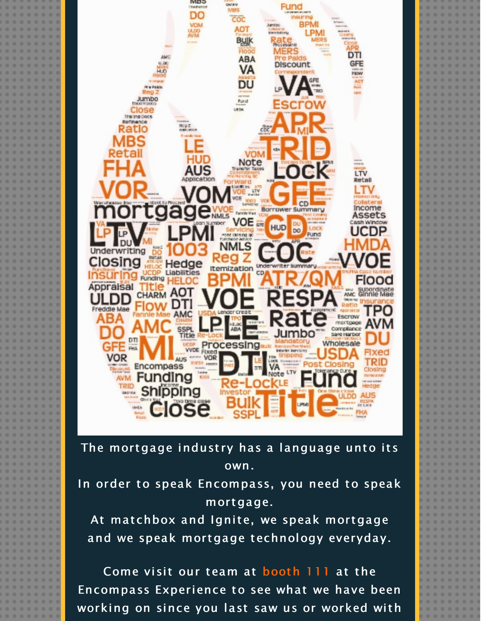

The mortgage industry has a language unto its own.

In order to speak Encompass, you need to speak mortgage.

At matchbox and Ignite, we speak mortgage and we speak mortgage technology everyday.

Come visit our team at booth 111 at the Encompass Experience to see what we have been working on since you last saw us or worked with